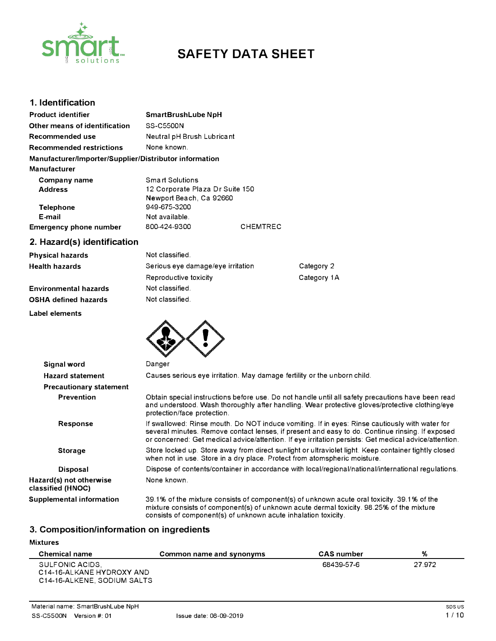

# **SAFETY DATA SHEET**

# **1. Identification**

| <b>Product identifier</b>                              | SmartBrushLube NpH              |                 |  |
|--------------------------------------------------------|---------------------------------|-----------------|--|
| Other means of identification                          | SS-C5500N                       |                 |  |
| Recommended use                                        | Neutral pH Brush Lubricant      |                 |  |
| <b>Recommended restrictions</b>                        | None known.                     |                 |  |
| Manufacturer/Importer/Supplier/Distributor information |                                 |                 |  |
| <b>Manufacturer</b>                                    |                                 |                 |  |
| Company name                                           | Smart Solutions                 |                 |  |
| <b>Address</b>                                         | 12 Corporate Plaza Dr Suite 150 |                 |  |
|                                                        | Newport Beach, Ca 92660         |                 |  |
| Telephone                                              | 949-675-3200                    |                 |  |
| E-mail                                                 | Not available.                  |                 |  |
| <b>Emergency phone number</b>                          | 800-424-9300                    | <b>CHEMTREC</b> |  |

# **2. Hazard(s) identification**

**Label elements** 

| <b>Physical hazards</b>      | Not classified.                   |             |
|------------------------------|-----------------------------------|-------------|
| Health hazards               | Serious eye damage/eye irritation | Category 2  |
|                              | Reproductive toxicity             | Category 1A |
| <b>Environmental hazards</b> | Not classified.                   |             |
| <b>OSHA defined hazards</b>  | Not classified.                   |             |

| Signal word                                  | Danger                                                                                                                                                                                                                                                                                                     |  |
|----------------------------------------------|------------------------------------------------------------------------------------------------------------------------------------------------------------------------------------------------------------------------------------------------------------------------------------------------------------|--|
| <b>Hazard statement</b>                      | Causes serious eye irritation. May damage fertility or the unborn child.                                                                                                                                                                                                                                   |  |
| <b>Precautionary statement</b>               |                                                                                                                                                                                                                                                                                                            |  |
| <b>Prevention</b>                            | Obtain special instructions before use. Do not handle until all safety precautions have been read<br>and understood. Wash thoroughly after handling. Wear protective gloves/protective clothing/eye<br>protection/face protection.                                                                         |  |
| Response                                     | If swallowed: Rinse mouth. Do NOT induce vomiting. If in eyes: Rinse cautiously with water for<br>several minutes. Remove contact lenses, if present and easy to do. Continue rinsing. If exposed<br>or concerned: Get medical advice/attention. If eye irritation persists: Get medical advice/attention. |  |
| <b>Storage</b>                               | Store locked up. Store away from direct sunlight or ultraviolet light. Keep container tightly closed<br>when not in use. Store in a dry place. Protect from atomspheric moisture.                                                                                                                          |  |
| <b>Disposal</b>                              | Dispose of contents/container in accordance with local/regional/national/international regulations.                                                                                                                                                                                                        |  |
| Hazard(s) not otherwise<br>classified (HNOC) | None known.                                                                                                                                                                                                                                                                                                |  |
| Supplemental information                     | 39.1% of the mixture consists of component(s) of unknown acute oral toxicity. 39.1% of the<br>mixture consists of component(s) of unknown acute dermal toxicity. 98.25% of the mixture<br>consists of component(s) of unknown acute inhalation toxicity.                                                   |  |

# **3. Composition/information on ingredients**

#### **Mixtures**

| <b>Chemical name</b>                                                        | Common name and synonyms | <b>CAS</b> number | %      |
|-----------------------------------------------------------------------------|--------------------------|-------------------|--------|
| SULFONIC ACIDS.<br>C14-16-ALKANE HYDROXY AND<br>C14-16-ALKENE, SODIUM SALTS |                          | 68439-57-6        | 27.972 |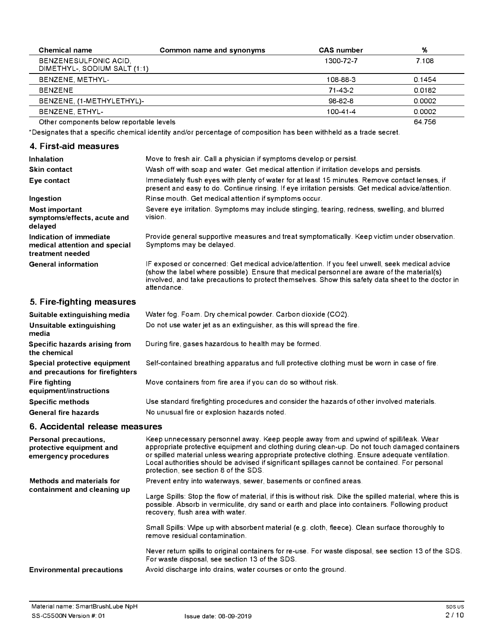| <b>Chemical name</b>                                  | Common name and synonyms | <b>CAS</b> number | %      |
|-------------------------------------------------------|--------------------------|-------------------|--------|
| BENZENESULFONIC ACID,<br>DIMETHYL-, SODIUM SALT (1:1) |                          | 1300-72-7         | 7.108  |
| BENZENE, METHYL-                                      |                          | 108-88-3          | 0.1454 |
| <b>BENZENE</b>                                        |                          | $71 - 43 - 2$     | 0.0182 |
| BENZENE, (1-METHYLETHYL)-                             |                          | 98-82-8           | 0.0002 |
| BENZENE, ETHYL-                                       |                          | 100-41-4          | 0.0002 |
| Other components below reportable levels              |                          |                   | 64.756 |

\*Designates that a specific chemical identity and/or percentage of composition has been withheld as a trade secret.

# **4. First-aid measures**

| Inhalation                                                                   | Move to fresh air. Call a physician if symptoms develop or persist.                                                                                                                                                                                                                                                |
|------------------------------------------------------------------------------|--------------------------------------------------------------------------------------------------------------------------------------------------------------------------------------------------------------------------------------------------------------------------------------------------------------------|
|                                                                              |                                                                                                                                                                                                                                                                                                                    |
| <b>Skin contact</b>                                                          | Wash off with soap and water. Get medical attention if irritation develops and persists.                                                                                                                                                                                                                           |
| Eye contact                                                                  | Immediately flush eyes with plenty of water for at least 15 minutes. Remove contact lenses, if<br>present and easy to do. Continue rinsing. If eye irritation persists: Get medical advice/attention.                                                                                                              |
| Ingestion                                                                    | Rinse mouth. Get medical attention if symptoms occur.                                                                                                                                                                                                                                                              |
| Most important<br>symptoms/effects, acute and<br>delayed                     | Severe eye irritation. Symptoms may include stinging, tearing, redness, swelling, and blurred<br>vision.                                                                                                                                                                                                           |
| Indication of immediate<br>medical attention and special<br>treatment needed | Provide general supportive measures and treat symptomatically. Keep victim under observation.<br>Symptoms may be delayed.                                                                                                                                                                                          |
| <b>General information</b>                                                   | IF exposed or concerned: Get medical advice/attention. If you feel unwell, seek medical advice<br>(show the label where possible). Ensure that medical personnel are aware of the material(s)<br>involved, and take precautions to protect themselves. Show this safety data sheet to the doctor in<br>attendance. |

# **5. Fire-fighting measures**

| Suitable extinguishing media                                     | Water fog. Foam. Dry chemical powder. Carbon dioxide (CO2).                                   |
|------------------------------------------------------------------|-----------------------------------------------------------------------------------------------|
| Unsuitable extinguishing<br>media                                | Do not use water jet as an extinguisher, as this will spread the fire.                        |
| Specific hazards arising from<br>the chemical                    | During fire, gases hazardous to health may be formed.                                         |
| Special protective equipment<br>and precautions for firefighters | Self-contained breathing apparatus and full protective clothing must be worn in case of fire. |
| <b>Fire fighting</b><br>equipment/instructions                   | Move containers from fire area if you can do so without risk.                                 |
| <b>Specific methods</b>                                          | Use standard firefighting procedures and consider the hazards of other involved materials.    |
| <b>General fire hazards</b>                                      | No unusual fire or explosion hazards noted.                                                   |

## **6. Accidental release measures**

| Personal precautions,<br>protective equipment and<br>emergency procedures | Keep unnecessary personnel away. Keep people away from and upwind of spill/leak. Wear<br>appropriate protective equipment and clothing during clean-up. Do not touch damaged containers<br>or spilled material unless wearing appropriate protective clothing. Ensure adequate ventilation.<br>Local authorities should be advised if significant spillages cannot be contained. For personal<br>protection, see section 8 of the SDS. |
|---------------------------------------------------------------------------|----------------------------------------------------------------------------------------------------------------------------------------------------------------------------------------------------------------------------------------------------------------------------------------------------------------------------------------------------------------------------------------------------------------------------------------|
| Methods and materials for<br>containment and cleaning up                  | Prevent entry into waterways, sewer, basements or confined areas.<br>Large Spills: Stop the flow of material, if this is without risk. Dike the spilled material, where this is<br>possible. Absorb in vermiculite, dry sand or earth and place into containers. Following product                                                                                                                                                     |
|                                                                           | recovery, flush area with water.<br>Small Spills: Wipe up with absorbent material (e.g. cloth, fleece). Clean surface thoroughly to                                                                                                                                                                                                                                                                                                    |
|                                                                           | remove residual contamination.<br>Never return spills to original containers for re-use. For waste disposal, see section 13 of the SDS.<br>For waste disposal, see section 13 of the SDS.                                                                                                                                                                                                                                              |
| <b>Environmental precautions</b>                                          | Avoid discharge into drains, water courses or onto the ground.                                                                                                                                                                                                                                                                                                                                                                         |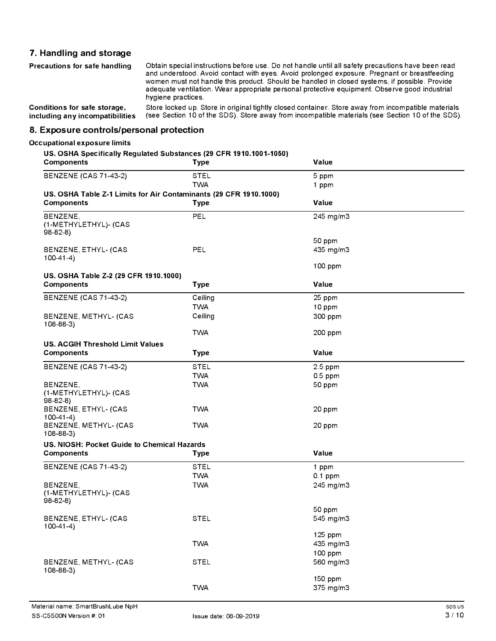# **7. Handling and storage**

| Precautions for safe handling   | Obtain special instructions before use. Do not handle until all safety precautions have been read<br>and understood. Avoid contact with eyes. Avoid prolonged exposure. Pregnant or breastfeeding<br>women must not handle this product. Should be handled in closed systems, if possible. Provide<br>adequate ventilation. Wear appropriate personal protective equipment. Observe good industrial<br>hygiene practices. |
|---------------------------------|---------------------------------------------------------------------------------------------------------------------------------------------------------------------------------------------------------------------------------------------------------------------------------------------------------------------------------------------------------------------------------------------------------------------------|
| Conditions for safe storage,    | Store locked up. Store in original tightly closed container. Store away from incompatible materials                                                                                                                                                                                                                                                                                                                       |
| including any incompatibilities | (see Section 10 of the SDS). Store away from incompatible materials (see Section 10 of the SDS).                                                                                                                                                                                                                                                                                                                          |

**8. Exposure controls/personal protection**

# **Occupational exposure limits**

#### **US. OSHA Specifically Regulated Substances (29 CFR 1910.1001-1050)**

| <b>Components</b>                                                 | <b>Type</b> | Value                |
|-------------------------------------------------------------------|-------------|----------------------|
| <b>BENZENE (CAS 71-43-2)</b>                                      | <b>STEL</b> | 5 ppm                |
|                                                                   | <b>TWA</b>  | 1 ppm                |
| US. OSHA Table Z-1 Limits for Air Contaminants (29 CFR 1910.1000) |             |                      |
| <b>Components</b>                                                 | <b>Type</b> | Value                |
| BENZENE,<br>(1-METHYLETHYL)- (CAS<br>$98-82-8$                    | PEL         | 245 mg/m3            |
|                                                                   |             | 50 ppm               |
| BENZENE, ETHYL- (CAS<br>$100-41-4$                                | PEL         | 435 mg/m3            |
|                                                                   |             | 100 ppm              |
| US. OSHA Table Z-2 (29 CFR 1910.1000)                             |             |                      |
| <b>Components</b>                                                 | <b>Type</b> | Value                |
| <b>BENZENE (CAS 71-43-2)</b>                                      | Ceiling     | 25 ppm               |
|                                                                   | <b>TWA</b>  | 10 ppm               |
| BENZENE, METHYL- (CAS<br>$108 - 88 - 3$                           | Ceiling     | 300 ppm              |
|                                                                   | <b>TWA</b>  | 200 ppm              |
| <b>US. ACGIH Threshold Limit Values</b>                           |             |                      |
| <b>Components</b>                                                 | <b>Type</b> | Value                |
| <b>BENZENE (CAS 71-43-2)</b>                                      | <b>STEL</b> | 2.5 ppm              |
|                                                                   | <b>TWA</b>  | $0.5$ ppm            |
| BENZENE,<br>(1-METHYLETHYL)- (CAS<br>$98-82-8$                    | <b>TWA</b>  | 50 ppm               |
| BENZENE, ETHYL- (CAS<br>$100-41-4)$                               | <b>TWA</b>  | 20 ppm               |
| BENZENE, METHYL- (CAS<br>$108 - 88 - 3$                           | <b>TWA</b>  | 20 ppm               |
| US. NIOSH: Pocket Guide to Chemical Hazards                       |             |                      |
| <b>Components</b>                                                 | <b>Type</b> | Value                |
| <b>BENZENE (CAS 71-43-2)</b>                                      | <b>STEL</b> | 1 ppm                |
|                                                                   | <b>TWA</b>  | $0.1$ ppm            |
| BENZENE,<br>(1-METHYLETHYL)- (CAS<br>$98-82-8$                    | <b>TWA</b>  | 245 mg/m3            |
| BENZENE, ETHYL- (CAS                                              | <b>STEL</b> | 50 ppm<br>545 mg/m3  |
| $100-41-4$                                                        |             |                      |
|                                                                   | <b>TWA</b>  | 125 ppm<br>435 mg/m3 |
| BENZENE, METHYL- (CAS<br>$108 - 88 - 3$                           | <b>STEL</b> | 100 ppm<br>560 mg/m3 |
|                                                                   | <b>TWA</b>  | 150 ppm<br>375 mg/m3 |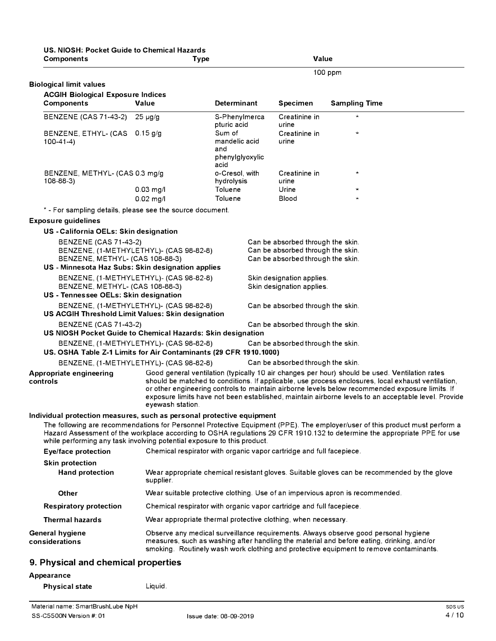| US, NIOSH: Pocket Guide to Chemical Hazards<br><b>Components</b>                                                                                 | Type                                                                 |                                                           | Value                             |                                                                                                                                                                                                                                                                                                                                                                                                                |
|--------------------------------------------------------------------------------------------------------------------------------------------------|----------------------------------------------------------------------|-----------------------------------------------------------|-----------------------------------|----------------------------------------------------------------------------------------------------------------------------------------------------------------------------------------------------------------------------------------------------------------------------------------------------------------------------------------------------------------------------------------------------------------|
|                                                                                                                                                  |                                                                      |                                                           |                                   | 100 ppm                                                                                                                                                                                                                                                                                                                                                                                                        |
| <b>Biological limit values</b>                                                                                                                   |                                                                      |                                                           |                                   |                                                                                                                                                                                                                                                                                                                                                                                                                |
| <b>ACGIH Biological Exposure Indices</b>                                                                                                         |                                                                      |                                                           |                                   |                                                                                                                                                                                                                                                                                                                                                                                                                |
| <b>Components</b>                                                                                                                                | Value                                                                | <b>Determinant</b>                                        | <b>Specimen</b>                   | <b>Sampling Time</b>                                                                                                                                                                                                                                                                                                                                                                                           |
| <b>BENZENE (CAS 71-43-2)</b>                                                                                                                     | $25 \mu g/g$                                                         | S-Phenylmerca<br>pturic acid                              | Creatinine in<br>urine            |                                                                                                                                                                                                                                                                                                                                                                                                                |
| BENZENE, ETHYL- (CAS 0.15 g/g<br>$100 - 41 - 4$                                                                                                  |                                                                      | Sum of<br>mandelic acid<br>and<br>phenylglyoxylic<br>acid | Creatinine in<br>urine            | $\mathcal{H}$                                                                                                                                                                                                                                                                                                                                                                                                  |
| BENZENE, METHYL- (CAS 0.3 mg/g<br>$108 - 88 - 3$                                                                                                 |                                                                      | o-Cresol, with<br>hydrolysis                              | Creatinine in<br>urine            | $\star$                                                                                                                                                                                                                                                                                                                                                                                                        |
|                                                                                                                                                  | $0.03$ mg/l<br>$0.02$ mg/l                                           | Toluene<br>Toluene                                        | Urine<br>Blood                    | $\star$<br>$\star$                                                                                                                                                                                                                                                                                                                                                                                             |
| * - For sampling details, please see the source document.                                                                                        |                                                                      |                                                           |                                   |                                                                                                                                                                                                                                                                                                                                                                                                                |
| <b>Exposure guidelines</b>                                                                                                                       |                                                                      |                                                           |                                   |                                                                                                                                                                                                                                                                                                                                                                                                                |
| US - California OELs: Skin designation                                                                                                           |                                                                      |                                                           |                                   |                                                                                                                                                                                                                                                                                                                                                                                                                |
| <b>BENZENE (CAS 71-43-2)</b>                                                                                                                     |                                                                      |                                                           | Can be absorbed through the skin. |                                                                                                                                                                                                                                                                                                                                                                                                                |
|                                                                                                                                                  | BENZENE, (1-METHYLETHYL)- (CAS 98-82-8)                              |                                                           | Can be absorbed through the skin. |                                                                                                                                                                                                                                                                                                                                                                                                                |
| BENZENE, METHYL- (CAS 108-88-3)<br>US - Minnesota Haz Subs: Skin designation applies                                                             |                                                                      |                                                           | Can be absorbed through the skin. |                                                                                                                                                                                                                                                                                                                                                                                                                |
|                                                                                                                                                  | BENZENE, (1-METHYLETHYL)- (CAS 98-82-8)                              |                                                           | Skin designation applies.         |                                                                                                                                                                                                                                                                                                                                                                                                                |
| BENZENE, METHYL- (CAS 108-88-3)                                                                                                                  |                                                                      |                                                           | Skin designation applies.         |                                                                                                                                                                                                                                                                                                                                                                                                                |
| US - Tennessee OELs: Skin designation                                                                                                            |                                                                      |                                                           |                                   |                                                                                                                                                                                                                                                                                                                                                                                                                |
| US ACGIH Threshold Limit Values: Skin designation                                                                                                | BENZENE, (1-METHYLETHYL)- (CAS 98-82-8)                              |                                                           | Can be absorbed through the skin. |                                                                                                                                                                                                                                                                                                                                                                                                                |
| <b>BENZENE (CAS 71-43-2)</b><br>US NIOSH Pocket Guide to Chemical Hazards: Skin designation                                                      |                                                                      |                                                           | Can be absorbed through the skin. |                                                                                                                                                                                                                                                                                                                                                                                                                |
|                                                                                                                                                  | BENZENE, (1-METHYLETHYL)- (CAS 98-82-8)                              |                                                           | Can be absorbed through the skin. |                                                                                                                                                                                                                                                                                                                                                                                                                |
| US. OSHA Table Z-1 Limits for Air Contaminants (29 CFR 1910.1000)                                                                                |                                                                      |                                                           |                                   |                                                                                                                                                                                                                                                                                                                                                                                                                |
|                                                                                                                                                  | BENZENE, (1-METHYLETHYL)- (CAS 98-82-8)                              |                                                           | Can be absorbed through the skin. |                                                                                                                                                                                                                                                                                                                                                                                                                |
| Appropriate engineering<br>controls                                                                                                              | evewash station.                                                     |                                                           |                                   | Good general ventilation (typically 10 air changes per hour) should be used. Ventilation rates<br>should be matched to conditions. If applicable, use process enclosures, local exhaust ventilation,<br>or other engineering controls to maintain airborne levels below recommended exposure limits. If<br>exposure limits have not been established, maintain airborne levels to an acceptable level. Provide |
| Individual protection measures, such as personal protective equipment<br>while performing any task involving potential exposure to this product. |                                                                      |                                                           |                                   | The following are recommendations for Personnel Protective Equipment (PPE). The employer/user of this product must perform a<br>Hazard Assessment of the workplace according to OSHA regulations 29 CFR 1910.132 to determine the appropriate PPE for use                                                                                                                                                      |
| Eye/face protection                                                                                                                              | Chemical respirator with organic vapor cartridge and full facepiece. |                                                           |                                   |                                                                                                                                                                                                                                                                                                                                                                                                                |
| <b>Skin protection</b>                                                                                                                           |                                                                      |                                                           |                                   |                                                                                                                                                                                                                                                                                                                                                                                                                |
| <b>Hand protection</b>                                                                                                                           | supplier.                                                            |                                                           |                                   | Wear appropriate chemical resistant gloves. Suitable gloves can be recommended by the glove                                                                                                                                                                                                                                                                                                                    |
| Other                                                                                                                                            |                                                                      |                                                           |                                   | Wear suitable protective clothing. Use of an impervious apron is recommended.                                                                                                                                                                                                                                                                                                                                  |
| <b>Respiratory protection</b>                                                                                                                    | Chemical respirator with organic vapor cartridge and full facepiece. |                                                           |                                   |                                                                                                                                                                                                                                                                                                                                                                                                                |
| <b>Thermal hazards</b>                                                                                                                           | Wear appropriate thermal protective clothing, when necessary.        |                                                           |                                   |                                                                                                                                                                                                                                                                                                                                                                                                                |
| <b>General hygiene</b><br>considerations                                                                                                         |                                                                      |                                                           |                                   | Observe any medical surveillance requirements. Always observe good personal hygiene<br>measures, such as washing after handling the material and before eating, drinking, and/or<br>smoking. Routinely wash work clothing and protective equipment to remove contaminants.                                                                                                                                     |
| 9. Physical and chemical properties                                                                                                              |                                                                      |                                                           |                                   |                                                                                                                                                                                                                                                                                                                                                                                                                |
| Appearance                                                                                                                                       |                                                                      |                                                           |                                   |                                                                                                                                                                                                                                                                                                                                                                                                                |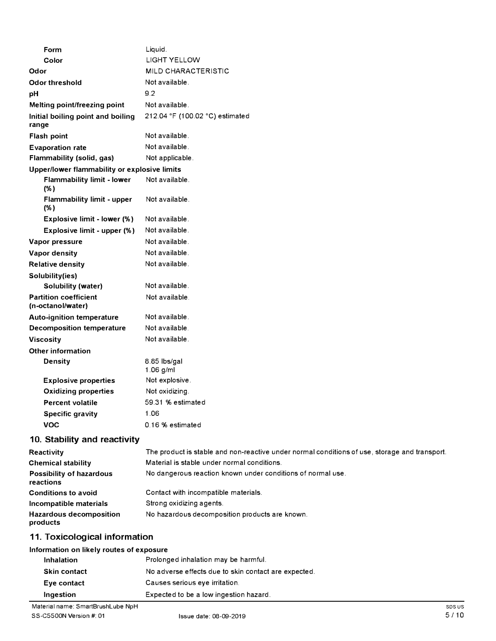| Form                                              | Liquid.                         |
|---------------------------------------------------|---------------------------------|
| Color                                             | <b>LIGHT YELLOW</b>             |
| Odor                                              | MILD CHARACTERISTIC             |
| <b>Odor threshold</b>                             | Not available.                  |
| pH                                                | 9.2                             |
| Melting point/freezing point                      | Not available.                  |
| Initial boiling point and boiling<br>range        | 212.04 °F (100.02 °C) estimated |
| Flash point                                       | Not available.                  |
| <b>Evaporation rate</b>                           | Not available.                  |
| Flammability (solid, gas)                         | Not applicable.                 |
| Upper/lower flammability or explosive limits      |                                 |
| <b>Flammability limit - lower</b><br>(% )         | Not available.                  |
| Flammability limit - upper<br>(% )                | Not available.                  |
| Explosive limit - lower (%)                       | Not available.                  |
| Explosive limit - upper (%)                       | Not available.                  |
| Vapor pressure                                    | Not available.                  |
| Vapor density                                     | Not available.                  |
| <b>Relative density</b>                           | Not available.                  |
| Solubility(ies)                                   |                                 |
| Solubility (water)                                | Not available.                  |
| <b>Partition coefficient</b><br>(n-octanol/water) | Not available.                  |
| <b>Auto-ignition temperature</b>                  | Not available.                  |
| <b>Decomposition temperature</b>                  | Not available.                  |
| <b>Viscosity</b>                                  | Not available.                  |
| <b>Other information</b>                          |                                 |
| <b>Density</b>                                    | 8.85 lbs/gal<br>$1.06$ g/ml     |
| <b>Explosive properties</b>                       | Not explosive.                  |
| <b>Oxidizing properties</b>                       | Not oxidizing.                  |
| <b>Percent volatile</b>                           | 59.31 % estimated               |
| <b>Specific gravity</b>                           | 1.06                            |
| <b>VOC</b>                                        | 0.16 % estimated                |
| $40.$ Ctability and readivity                     |                                 |

### **10. Stability and reactivity**

| Reactivity                                 | The product is stable and non-reactive under normal conditions of use, storage and transport. |
|--------------------------------------------|-----------------------------------------------------------------------------------------------|
| <b>Chemical stability</b>                  | Material is stable under normal conditions.                                                   |
| Possibility of hazardous<br>reactions      | No dangerous reaction known under conditions of normal use.                                   |
| <b>Conditions to avoid</b>                 | Contact with incompatible materials.                                                          |
| Incompatible materials                     | Strong oxidizing agents.                                                                      |
| <b>Hazardous decomposition</b><br>products | No hazardous decomposition products are known.                                                |

# **11. Toxicological information**

### **Information on likely routes of exposure**

| <b>Inhalation</b>   | Prolonged inhalation may be harmful.                 |
|---------------------|------------------------------------------------------|
| <b>Skin contact</b> | No adverse effects due to skin contact are expected. |
| Eye contact         | Causes serious eye irritation.                       |
| Ingestion           | Expected to be a low ingestion hazard.               |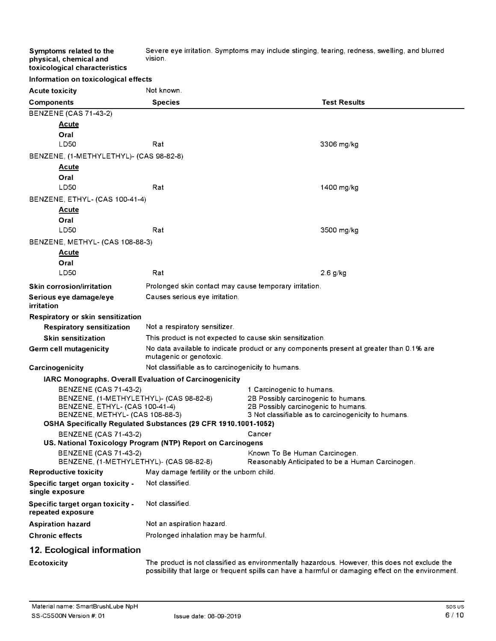Severe eye irritation. Symptoms may include stinging, tearing, redness, swelling, and blurred vision.

|  | toxicological characteristics |                                      |
|--|-------------------------------|--------------------------------------|
|  |                               | Information on toxicological effects |

**Symptoms related to the physical, chemical and** 

| <b>Acute toxicity</b>                                             | Not known.                                                     |                                                                                                |
|-------------------------------------------------------------------|----------------------------------------------------------------|------------------------------------------------------------------------------------------------|
| <b>Components</b>                                                 | <b>Species</b>                                                 | <b>Test Results</b>                                                                            |
| <b>BENZENE (CAS 71-43-2)</b>                                      |                                                                |                                                                                                |
| <b>Acute</b>                                                      |                                                                |                                                                                                |
| Oral                                                              |                                                                |                                                                                                |
| LD50                                                              | Rat                                                            | 3306 mg/kg                                                                                     |
| BENZENE, (1-METHYLETHYL)- (CAS 98-82-8)                           |                                                                |                                                                                                |
| <u>Acute</u>                                                      |                                                                |                                                                                                |
| Oral                                                              |                                                                |                                                                                                |
| LD50                                                              | Rat                                                            | 1400 mg/kg                                                                                     |
| BENZENE, ETHYL- (CAS 100-41-4)                                    |                                                                |                                                                                                |
| <b>Acute</b>                                                      |                                                                |                                                                                                |
| Oral                                                              |                                                                |                                                                                                |
| LD50                                                              | Rat                                                            | 3500 mg/kg                                                                                     |
| BENZENE, METHYL- (CAS 108-88-3)                                   |                                                                |                                                                                                |
| <u>Acute</u>                                                      |                                                                |                                                                                                |
| Oral                                                              |                                                                |                                                                                                |
| LD50                                                              | Rat                                                            | $2.6$ g/kg                                                                                     |
| <b>Skin corrosion/irritation</b>                                  | Prolonged skin contact may cause temporary irritation.         |                                                                                                |
| Serious eye damage/eye<br>irritation                              | Causes serious eye irritation.                                 |                                                                                                |
| Respiratory or skin sensitization                                 |                                                                |                                                                                                |
| <b>Respiratory sensitization</b>                                  | Not a respiratory sensitizer.                                  |                                                                                                |
| <b>Skin sensitization</b>                                         | This product is not expected to cause skin sensitization.      |                                                                                                |
| Germ cell mutagenicity                                            | mutagenic or genotoxic.                                        | No data available to indicate product or any components present at greater than 0.1% are       |
| Carcinogenicity                                                   | Not classifiable as to carcinogenicity to humans.              |                                                                                                |
| IARC Monographs. Overall Evaluation of Carcinogenicity            |                                                                |                                                                                                |
| <b>BENZENE (CAS 71-43-2)</b>                                      |                                                                | 1 Carcinogenic to humans.                                                                      |
| BENZENE, (1-METHYLETHYL)- (CAS 98-82-8)                           |                                                                | 2B Possibly carcinogenic to humans.                                                            |
| BENZENE, ETHYL- (CAS 100-41-4)<br>BENZENE, METHYL- (CAS 108-88-3) |                                                                | 2B Possibly carcinogenic to humans.<br>3 Not classifiable as to carcinogenicity to humans.     |
|                                                                   | OSHA Specifically Regulated Substances (29 CFR 1910.1001-1052) |                                                                                                |
| <b>BENZENE (CAS 71-43-2)</b>                                      |                                                                | Cancer                                                                                         |
|                                                                   | US. National Toxicology Program (NTP) Report on Carcinogens    |                                                                                                |
| <b>BENZENE (CAS 71-43-2)</b>                                      |                                                                | Known To Be Human Carcinogen.                                                                  |
| BENZENE, (1-METHYLETHYL)- (CAS 98-82-8)                           |                                                                | Reasonably Anticipated to be a Human Carcinogen.                                               |
| <b>Reproductive toxicity</b>                                      | May damage fertility or the unborn child.                      |                                                                                                |
| Specific target organ toxicity -<br>single exposure               | Not classified.                                                |                                                                                                |
| Specific target organ toxicity -<br>repeated exposure             | Not classified.                                                |                                                                                                |
| <b>Aspiration hazard</b>                                          | Not an aspiration hazard.                                      |                                                                                                |
| <b>Chronic effects</b>                                            | Prolonged inhalation may be harmful.                           |                                                                                                |
| 12. Ecological information                                        |                                                                |                                                                                                |
| <b>Ecotoxicity</b>                                                |                                                                | The product is not classified as environmentally hazardous. However, this does not exclude the |

possibility that large or frequent spills can have a harmful or damaging effect on the environment.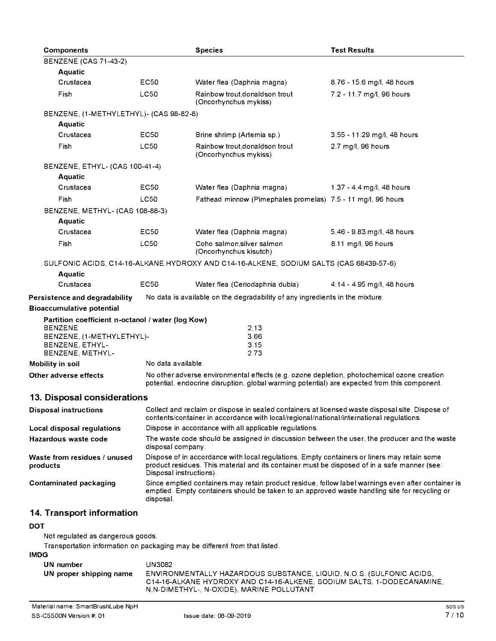| <b>Components</b>                                                                         |                                                                                                                                                                                                                        | <b>Species</b>                                                                                                                                                                                      | <b>Test Results</b>         |
|-------------------------------------------------------------------------------------------|------------------------------------------------------------------------------------------------------------------------------------------------------------------------------------------------------------------------|-----------------------------------------------------------------------------------------------------------------------------------------------------------------------------------------------------|-----------------------------|
| <b>BENZENE (CAS 71-43-2)</b>                                                              |                                                                                                                                                                                                                        |                                                                                                                                                                                                     |                             |
| <b>Aquatic</b>                                                                            |                                                                                                                                                                                                                        |                                                                                                                                                                                                     |                             |
| Crustacea                                                                                 | EC50                                                                                                                                                                                                                   | Water flea (Daphnia magna)                                                                                                                                                                          | 8.76 - 15.6 mg/l, 48 hours  |
| Fish                                                                                      | <b>LC50</b>                                                                                                                                                                                                            | Rainbow trout, donaldson trout<br>(Oncorhynchus mykiss)                                                                                                                                             | 7.2 - 11.7 mg/l, 96 hours   |
| BENZENE, (1-METHYLETHYL)- (CAS 98-82-8)                                                   |                                                                                                                                                                                                                        |                                                                                                                                                                                                     |                             |
| Aquatic                                                                                   |                                                                                                                                                                                                                        |                                                                                                                                                                                                     |                             |
| Crustacea                                                                                 | EC50                                                                                                                                                                                                                   | Brine shrimp (Artemia sp.)                                                                                                                                                                          | 3.55 - 11.29 mg/l, 48 hours |
| Fish                                                                                      | <b>LC50</b>                                                                                                                                                                                                            | Rainbow trout, donaldson trout<br>(Oncorhynchus mykiss)                                                                                                                                             | 2.7 mg/l, 96 hours          |
| BENZENE, ETHYL- (CAS 100-41-4)                                                            |                                                                                                                                                                                                                        |                                                                                                                                                                                                     |                             |
| <b>Aquatic</b>                                                                            |                                                                                                                                                                                                                        |                                                                                                                                                                                                     |                             |
| Crustacea                                                                                 | EC50                                                                                                                                                                                                                   | Water flea (Daphnia magna)                                                                                                                                                                          | 1.37 - 4.4 mg/l, 48 hours   |
| Fish                                                                                      | LC50                                                                                                                                                                                                                   | Fathead minnow (Pimephales promelas) 7.5 - 11 mg/l, 96 hours                                                                                                                                        |                             |
| BENZENE, METHYL- (CAS 108-88-3)                                                           |                                                                                                                                                                                                                        |                                                                                                                                                                                                     |                             |
| <b>Aquatic</b>                                                                            |                                                                                                                                                                                                                        |                                                                                                                                                                                                     |                             |
| Crustacea                                                                                 | EC50                                                                                                                                                                                                                   | Water flea (Daphnia magna)                                                                                                                                                                          | 5.46 - 9.83 mg/l, 48 hours  |
| Fish                                                                                      | <b>LC50</b>                                                                                                                                                                                                            | Coho salmon, silver salmon<br>(Oncorhynchus kisutch)                                                                                                                                                | 8.11 mg/l, 96 hours         |
|                                                                                           |                                                                                                                                                                                                                        | SULFONIC ACIDS, C14-16-ALKANE HYDROXY AND C14-16-ALKENE, SODIUM SALTS (CAS 68439-57-6)                                                                                                              |                             |
| <b>Aquatic</b>                                                                            |                                                                                                                                                                                                                        |                                                                                                                                                                                                     |                             |
| Crustacea                                                                                 | <b>EC50</b>                                                                                                                                                                                                            | Water flea (Ceriodaphnia dubia)                                                                                                                                                                     | 4.14 - 4.95 mg/l, 48 hours  |
| Persistence and degradability                                                             |                                                                                                                                                                                                                        | No data is available on the degradability of any ingredients in the mixture.                                                                                                                        |                             |
| <b>Bioaccumulative potential</b>                                                          |                                                                                                                                                                                                                        |                                                                                                                                                                                                     |                             |
| Partition coefficient n-octanol / water (log Kow)<br><b>BENZENE</b>                       |                                                                                                                                                                                                                        |                                                                                                                                                                                                     |                             |
| BENZENE, (1-METHYLETHYL)-                                                                 |                                                                                                                                                                                                                        | 2.13<br>3.66                                                                                                                                                                                        |                             |
| BENZENE, ETHYL-                                                                           |                                                                                                                                                                                                                        | 3.15                                                                                                                                                                                                |                             |
| BENZENE, METHYL-                                                                          |                                                                                                                                                                                                                        | 2.73                                                                                                                                                                                                |                             |
| Mobility in soil                                                                          | No data available.                                                                                                                                                                                                     |                                                                                                                                                                                                     |                             |
| Other adverse effects                                                                     |                                                                                                                                                                                                                        | No other adverse environmental effects (e.g. ozone depletion, photochemical ozone creation<br>potential, endocrine disruption, global warming potential) are expected from this component.          |                             |
| 13. Disposal considerations                                                               |                                                                                                                                                                                                                        |                                                                                                                                                                                                     |                             |
| <b>Disposal instructions</b>                                                              |                                                                                                                                                                                                                        | Collect and reclaim or dispose in sealed containers at licensed waste disposal site. Dispose of<br>contents/container in accordance with local/regional/national/international regulations.         |                             |
| Local disposal regulations                                                                |                                                                                                                                                                                                                        | Dispose in accordance with all applicable regulations.                                                                                                                                              |                             |
| Hazardous waste code                                                                      | disposal company.                                                                                                                                                                                                      | The waste code should be assigned in discussion between the user, the producer and the waste                                                                                                        |                             |
| Waste from residues / unused<br>products                                                  | Dispose of in accordance with local regulations. Empty containers or liners may retain some<br>product residues. This material and its container must be disposed of in a safe manner (see:<br>Disposal instructions). |                                                                                                                                                                                                     |                             |
| <b>Contaminated packaging</b>                                                             | disposal.                                                                                                                                                                                                              | Since emptied containers may retain product residue, follow label warnings even after container is<br>emptied. Empty containers should be taken to an approved waste handling site for recycling or |                             |
| 14. Transport information                                                                 |                                                                                                                                                                                                                        |                                                                                                                                                                                                     |                             |
| <b>DOT</b>                                                                                |                                                                                                                                                                                                                        |                                                                                                                                                                                                     |                             |
| Not regulated as dangerous goods.                                                         |                                                                                                                                                                                                                        |                                                                                                                                                                                                     |                             |
| Transportation information on packaging may be different from that listed.<br><b>IMDG</b> |                                                                                                                                                                                                                        |                                                                                                                                                                                                     |                             |

| UN number               | UN3082                                                                                                              |
|-------------------------|---------------------------------------------------------------------------------------------------------------------|
| UN proper shipping name | ENVIRONMENTALLY HAZARDOUS SUBSTANCE, LIQUID, N.O.S. (SULFONIC ACIDS,                                                |
|                         | C14-16-ALKANE HYDROXY AND C14-16-ALKENE. SODIUM SALTS. 1-DODECANAMINE.<br>N,N-DIMETHYL-, N-OXIDE), MARINE POLLUTANT |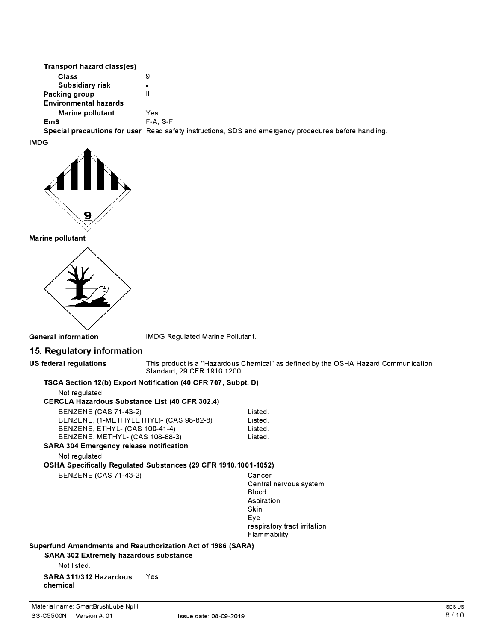| Transport hazard class(es)   |                                                                                                      |
|------------------------------|------------------------------------------------------------------------------------------------------|
| Class                        | 9                                                                                                    |
| Subsidiary risk              | $\blacksquare$                                                                                       |
| Packing group                | Ш                                                                                                    |
| <b>Environmental hazards</b> |                                                                                                      |
| Marine pollutant             | Yes                                                                                                  |
| <b>EmS</b>                   | $F-A. S-F$                                                                                           |
|                              | Special precautions for user Read safety instructions, SDS and emergency procedures before handling. |

**IMDG** 



**Marine pollutant** 



**General information** IMDG Regulated Marine Pollutant.

## **15. Regulatory information**

**US federal regulations** This product is a "Hazardous Chemical" as defined by the OSHA Hazard Communication Standard, 29 CFR 1910.1200.

#### **TSCA Section 12(b) Export Notification (40 CFR 707, Subpt. D)**

Not regulated.

## **CERCLA Hazardous Substance List (40 CFR 302.4)**

| BENZENE (CAS 71-43-2)                         | Listed. |
|-----------------------------------------------|---------|
| BENZENE, (1-METHYLETHYL)- (CAS 98-82-8)       | Listed. |
| <b>BENZENE, ETHYL- (CAS 100-41-4)</b>         | Listed. |
| BENZENE, METHYL- (CAS 108-88-3)               | Listed. |
| <b>\RA 304 Emergency release notification</b> |         |

# **SARA 304 Emergency release notification**

Not regulated.

**OSHA Specifically Regulated Substances (29 CFR 1910.1001-1052)** 

BENZENE (CAS 71-43-2) Cancer

Central nervous system Blood Aspiration Skin Eye respiratory tract irritation Flammability

**Superfund Amendments and Reauthorization Act of 1986 (SARA)** 

**SARA 302 Extremely hazardous substance** 

Not listed.

**SARA 311/312 Hazardous** Yes **chemical**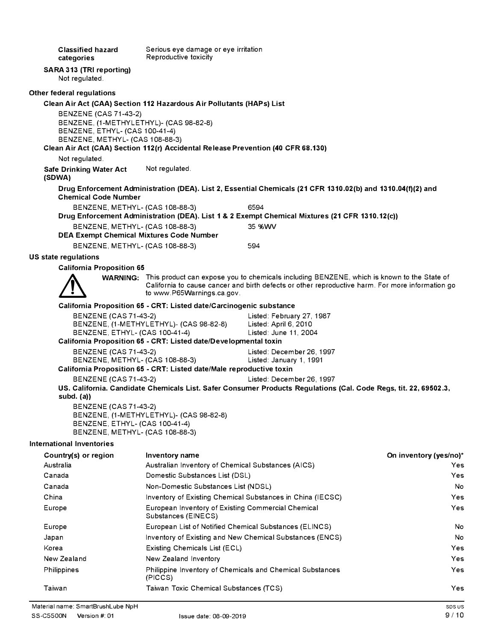**Classified hazard categories SARA 313 (TRI reporting)**  Not regulated. **Other federal regulations**  Serious eye damage or eye irritation Reproductive toxicity **Clean Air Act (CAA) Section 112 Hazardous Air Pollutants (HAPs) List**  BENZENE (CAS 71-43-2) BENZENE, (1-METHYLETHYL)- (CAS 98-82-8) BENZENE, ETHYL- (CAS 100-41-4) BENZENE, METHYL- (CAS 108-88-3) **Clean Air Act (CAA) Section 112(r) Accidental Release Prevention (40 CFR 68.130)**  Not regulated. **Safe Drinking Water Act (SDWA)**  Not regulated. **Drug Enforcement Administration (DEA). List 2, Essential Chemicals (21 CFR 1310.02(b) and 1310.04(f)(2) and Chemical Code Number**  BENZENE, METHYL- (CAS 108-88-3) 6594 **Drug Enforcement Administration (DEA). List 1 & 2 Exempt Chemical Mixtures (21 CFR 1310.12(c))**  BENZENE, METHYL- (CAS 108-88-3) 35 %WV **DEA Exempt Chemical Mixtures Code Number**  BENZENE, METHYL- (CAS 108-88-3) 594 **US state regulations California Proposition 65 WARNING:** This product can expose you to chemicals including BENZENE, which is known to the State of California to cause cancer and birth defects or other reproductive harm. For more information go to www.P65Warnings.ca.gov. **California Proposition 65 - CRT: Listed date/Carcinogenic substance**  BENZENE (CAS 71-43-2) Listed: February 27, 1987 BENZENE, (1-METHYLETHYL)- (CAS 98-82-8) Listed: April 6, 2010 BENZENE, ETHYL- (CAS 100-41-4) Listed: June 11, 2004 **California Proposition 65 - CRT: Listed date/Developmental toxin**  BENZENE (CAS 71-43-2) Listed: December 26, 1997 BENZENE, METHYL- (CAS 108-88-3) Listed: January 1, 1991 **California Proposition 65 - CRT: Listed date/Male reproductive toxin**  BENZENE (CAS 71-43-2) Listed: December 26, 1997 **US. California. Candidate Chemicals List. Safer Consumer Products Regulations (Cal. Code Regs, tit. 22, 69502.3, subd. (a))**  BENZENE (CAS 71-43-2) BENZENE, (1-METHYLETHYL)- (CAS 98-82-8) BENZENE, ETHYL- (CAS 100-41-4) BENZENE, METHYL- (CAS 108-88-3) **International Inventories Country(s) or region**  Australia Canada Canada China Europe Europe Japan Korea New Zealand Philippines Taiwan **Inventory name**  Australian Inventory of Chemical Substances (AICS) Domestic Substances List (DSL) Non-Domestic Substances List (NDSL) Inventory of Existing Chemical Substances in China (IECSC) European Inventory of Existing Commercial Chemical Substances (EINECS) European List of Notified Chemical Substances (ELINCS) Inventory of Existing and New Chemical Substances (ENCS) Existing Chemicals List (ECL) New Zealand Inventory Philippine Inventory of Chemicals and Chemical Substances (PICCS) Taiwan Toxic Chemical Substances (TCS) **On inventory (yes/no)\***  Yes Yes No Yes Yes No No Yes Yes Yes Yes